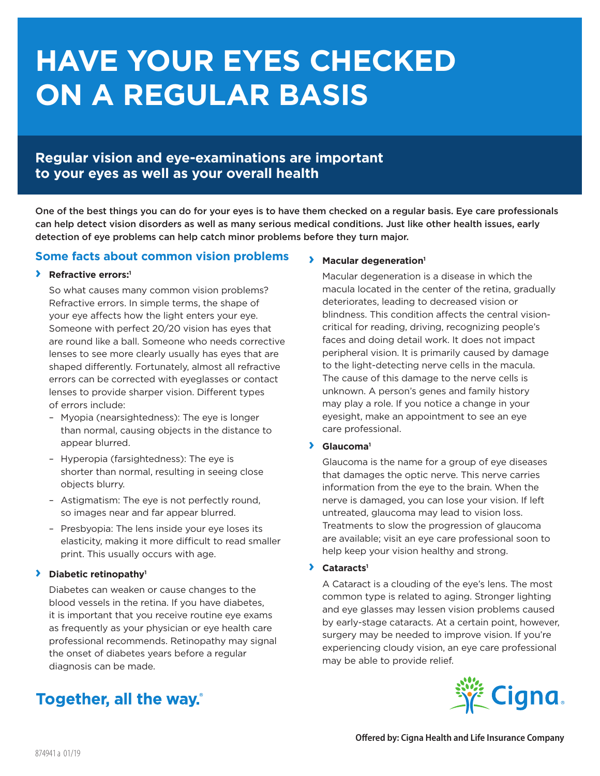# **HAVE YOUR EYES CHECKED ON A REGULAR BASIS**

## **Regular vision and eye-examinations are important to your eyes as well as your overall health**

One of the best things you can do for your eyes is to have them checked on a regular basis. Eye care professionals can help detect vision disorders as well as many serious medical conditions. Just like other health issues, early detection of eye problems can help catch minor problems before they turn major.

### **Some facts about common vision problems**

### **› Refractive errors:1**

So what causes many common vision problems? Refractive errors. In simple terms, the shape of your eye affects how the light enters your eye. Someone with perfect 20/20 vision has eyes that are round like a ball. Someone who needs corrective lenses to see more clearly usually has eyes that are shaped differently. Fortunately, almost all refractive errors can be corrected with eyeglasses or contact lenses to provide sharper vision. Different types of errors include:

- Myopia (nearsightedness): The eye is longer than normal, causing objects in the distance to appear blurred.
- Hyperopia (farsightedness): The eye is shorter than normal, resulting in seeing close objects blurry.
- Astigmatism: The eye is not perfectly round, so images near and far appear blurred.
- Presbyopia: The lens inside your eye loses its elasticity, making it more difficult to read smaller print. This usually occurs with age.

### **› Diabetic retinopathy1**

Diabetes can weaken or cause changes to the blood vessels in the retina. If you have diabetes, it is important that you receive routine eye exams as frequently as your physician or eye health care professional recommends. Retinopathy may signal the onset of diabetes years before a regular diagnosis can be made.

# Together, all the way.

### **› Macular degeneration1**

Macular degeneration is a disease in which the macula located in the center of the retina, gradually deteriorates, leading to decreased vision or blindness. This condition affects the central visioncritical for reading, driving, recognizing people's faces and doing detail work. It does not impact peripheral vision. It is primarily caused by damage to the light-detecting nerve cells in the macula. The cause of this damage to the nerve cells is unknown. A person's genes and family history may play a role. If you notice a change in your eyesight, make an appointment to see an eye care professional.

### **› Glaucoma1**

Glaucoma is the name for a group of eye diseases that damages the optic nerve. This nerve carries information from the eye to the brain. When the nerve is damaged, you can lose your vision. If left untreated, glaucoma may lead to vision loss. Treatments to slow the progression of glaucoma are available; visit an eye care professional soon to help keep your vision healthy and strong.

### **› Cataracts1**

A Cataract is a clouding of the eye's lens. The most common type is related to aging. Stronger lighting and eye glasses may lessen vision problems caused by early-stage cataracts. At a certain point, however, surgery may be needed to improve vision. If you're experiencing cloudy vision, an eye care professional may be able to provide relief.